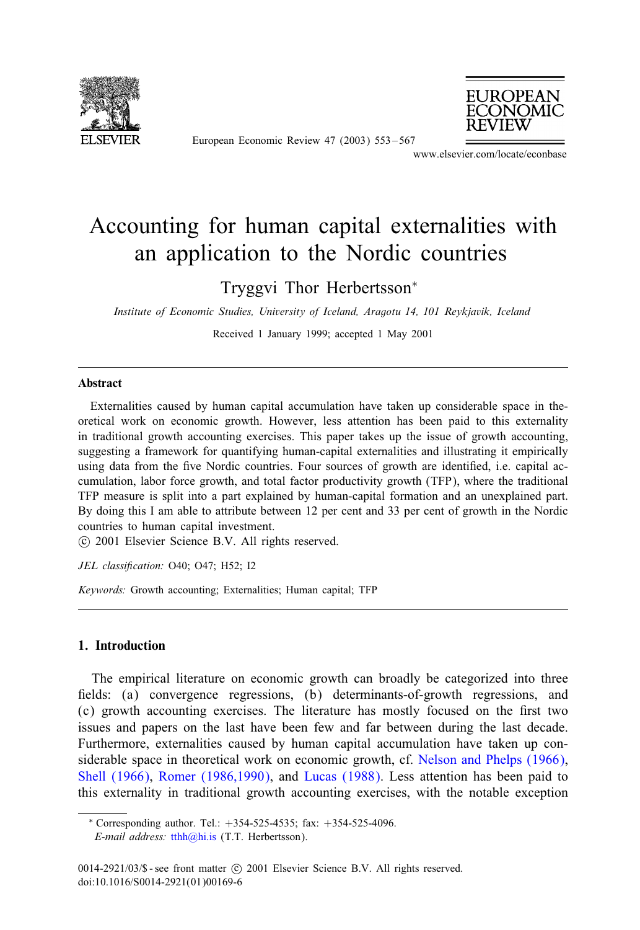

European Economic Review 47 (2003) 553 – 567



www.elsevier.com/locate/econbase

## Accounting for human capital externalities with an application to the Nordic countries

Tryggvi Thor Herbertsson<sup>∗</sup>

*Institute of Economic Studies, University of Iceland, Aragotu 14, 101 Reykjavik, Iceland*

Received 1 January 1999; accepted 1 May 2001

## Abstract

Externalities caused by human capital accumulation have taken up considerable space in theoretical work on economic growth. However, less attention has been paid to this externality in traditional growth accounting exercises. This paper takes up the issue of growth accounting, suggesting a framework for quantifying human-capital externalities and illustrating it empirically using data from the five Nordic countries. Four sources of growth are identified, i.e. capital accumulation, labor force growth, and total factor productivity growth (TFP), where the traditional TFP measure is split into a part explained by human-capital formation and an unexplained part. By doing this I am able to attribute between 12 per cent and 33 per cent of growth in the Nordic countries to human capital investment.

-c 2001 Elsevier Science B.V. All rights reserved.

*JEL classification:* O40; O47; H52; I2

*Keywords:* Growth accounting; Externalities; Human capital; TFP

## 1. Introduction

The empirical literature on economic growth can broadl[y be categorized into three](#page--1-0) fields: (a) convergence regressions, [\(b\) determina](#page--1-0)nts-of-growth regressions, and (c) growth accounting exercises. The literature has mostly focused on the first two issues and papers on the last have been few and far between during the last decade. Furthermore, externalities caused by human capital accumulation have taken up considerable space [in](mailto:tthh@hi.is) [theoret](mailto:tthh@hi.is)ical work on economic growth, cf. Nelson and Phelps (1966), Shell (1966), Romer (1986,1990), and Lucas (1988). Less attention has been paid to this externality in traditional growth accounting exercises, with the notable exception

 $*$  Corresponding author. Tel.:  $+354-525-4535$ ; fax:  $+354-525-4096$ . *E-mail address:* tthh@hi.is (T.T. Herbertsson).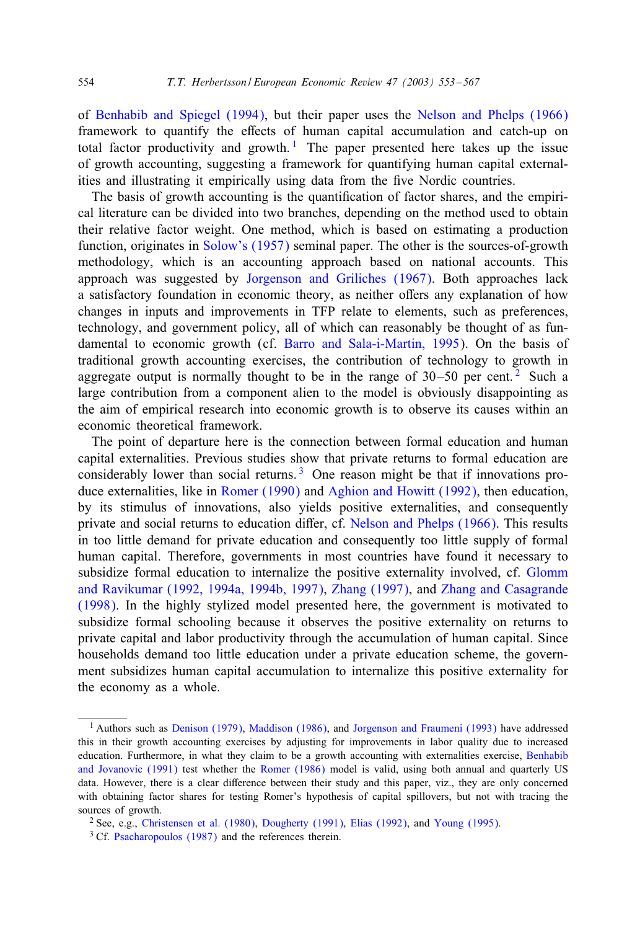of Benhabib and Spiegel (1994), but their paper uses the Nelson and Phelps (1966) framework to quantify the effects of human capital accumulation and catch-up on total factor productivity and growth.<sup>1</sup> The paper presented here takes up the issue of growth accounting, [suggesting a fra](#page--1-0)mework for quantifying human capital externalities and illustrating it empirically using data from the five Nordic countries.

The basis of growth accounting is the quantification of factor shares, and the empirical literature can be divided into two branches, dependingon the method used to obtain their relative factor weight. One method, which is based on estimating a production function, originates in Solow's (1957) seminal paper. The other is the sources-of-growth methodology, which is an accoun[ting approach based on nation](#page--1-0)al accounts. This approach was suggested by Jorgenson and Griliches (1967). Both approaches lack a satisfactory foundation in economic theory, as neither offers any explanation of how changes in inputs and improvements in TFP relate to elements, such as preferences, technology, and government policy, all of which can reasonably be thought of as fundamental to economic growth (cf. Barro and Sala-i-Martin, 1995). On the basis of traditional growth accounting exercises, the contribution of technology to growth in aggregate output is normally thought to be in the range of  $30-50$  per cent.<sup>2</sup> Such a large contribution from a component alien to the model is obviously disappointing as the aim of empirical res[earch into econo](#page--1-0)mi[c growth is to observe its c](#page--1-0)auses within an economic theoretical framework.

The point of departure here is the connectio[n between formal education](#page--1-0) and human capital externalities. Previous studies show that private returns to formal education are considerably lower than social returns.<sup>3</sup> One reason might be that if innovations produce externalities, like in Romer (1990) and Aghion and Howitt (1992), then ed[ucation,](#page--1-0) [by its stimulus of innovations, also yields positive exte](#page--1-0)rnali[ties, and consequently](#page--1-0) [private](#page--1-0) and social returns to education differ, cf. Nelson and Phelps  $(1966)$ . This results in too little demand for private education and consequently too little supply of formal human capital. Therefore, governments in most countries have found it necessary to subsidize formal education to internalize the positive externality involved, cf. Glomm and Ravikumar (1992, 1994a, 1994b, 1997), Zhang (1997), and Zhang and Casagrande (1998). In the highly stylized model presented here, the government is motivated to subsidize formal schooling because it observes the positive externality on returns to private capital a[nd labor productivity through](#page--1-0) th[e accumulation of human c](#page--1-0)apital. Since households demand too little education under a private education scheme, the government subsidizes human capital [accumulation](#page--1-0) to internalize this positive extern[ality for](#page--1-0) [the economy as a](#page--1-0) whole.

<sup>1</sup> Authors such as Denison (1979), Maddison (1986), and Jorgenson and Fraumeni (1993) have addressed this in their growth accounting exercises by adjusting for improvements in l[abor quality du](#page--1-0)e to increased educati[on. Furthermore, in wha](#page--1-0)t they claim to be a growth accounting with externalities exercise, Benhabib and Jovanovic (1991) test whether the Romer (1986) model is valid, using both annual and quarterly US data. However, there is a clear difference between their study and this paper, viz., they are only concerned with obtaining factor shares for testing Romer's hypothesis of capital spillovers, but not with tracing the sources of growth.

<sup>&</sup>lt;sup>2</sup> See, e.g., Christensen et al. (1980), Dougherty (1991), Elias (1992), and Young (1995).

<sup>&</sup>lt;sup>3</sup> Cf. Psacharopoulos (1987) and the references therein.